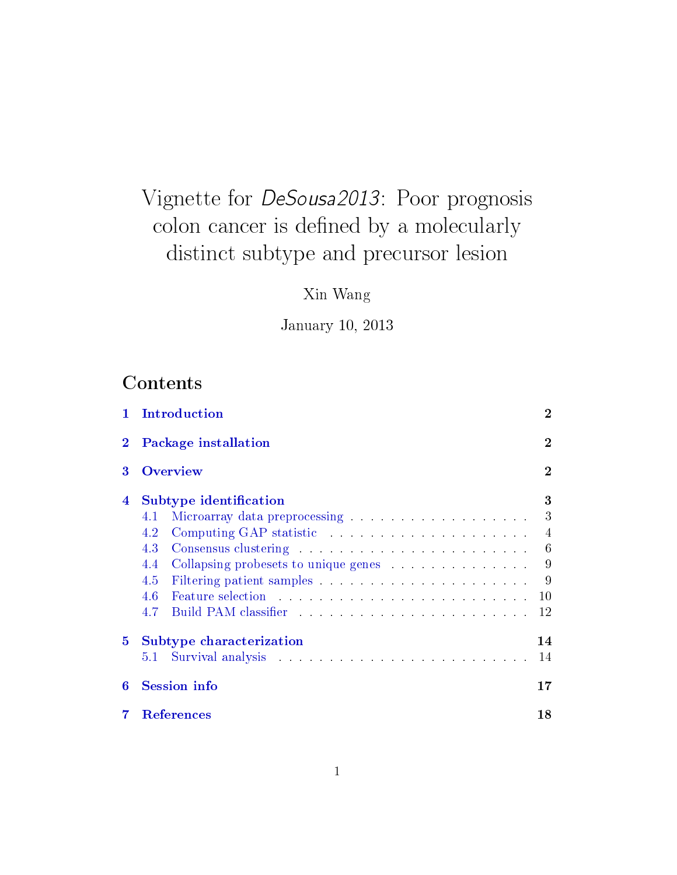# Vignette for DeSousa2013: Poor prognosis colon cancer is defined by a molecularly distinct subtype and precursor lesion

Xin Wang

January 10, 2013

# Contents

| 1.       | Introduction                                                                                                                                                                                                                          |                |  |  |  |  |
|----------|---------------------------------------------------------------------------------------------------------------------------------------------------------------------------------------------------------------------------------------|----------------|--|--|--|--|
| $\bf{2}$ | <b>Package installation</b>                                                                                                                                                                                                           |                |  |  |  |  |
| 3        | <b>Overview</b>                                                                                                                                                                                                                       | $\bf{2}$       |  |  |  |  |
| 4        | Subtype identification                                                                                                                                                                                                                | 3              |  |  |  |  |
|          | Microarray data preprocessing expansion of the set of the set of the set of the set of the set of the set of the set of the set of the set of the set of the set of the set of the set of the set of the set of the set of the<br>4.1 | 3              |  |  |  |  |
|          | 4.2                                                                                                                                                                                                                                   | $\overline{4}$ |  |  |  |  |
|          | 4.3                                                                                                                                                                                                                                   | 6              |  |  |  |  |
|          | Collapsing probesets to unique genes<br>4.4                                                                                                                                                                                           | 9              |  |  |  |  |
|          | 4.5                                                                                                                                                                                                                                   | -9             |  |  |  |  |
|          | 4.6                                                                                                                                                                                                                                   | 10             |  |  |  |  |
|          | 4.7                                                                                                                                                                                                                                   | 12             |  |  |  |  |
| 5        | Subtype characterization                                                                                                                                                                                                              | 14             |  |  |  |  |
|          | 5.1                                                                                                                                                                                                                                   | 14             |  |  |  |  |
| 6        | <b>Session info</b><br>17                                                                                                                                                                                                             |                |  |  |  |  |
|          | 18<br>References                                                                                                                                                                                                                      |                |  |  |  |  |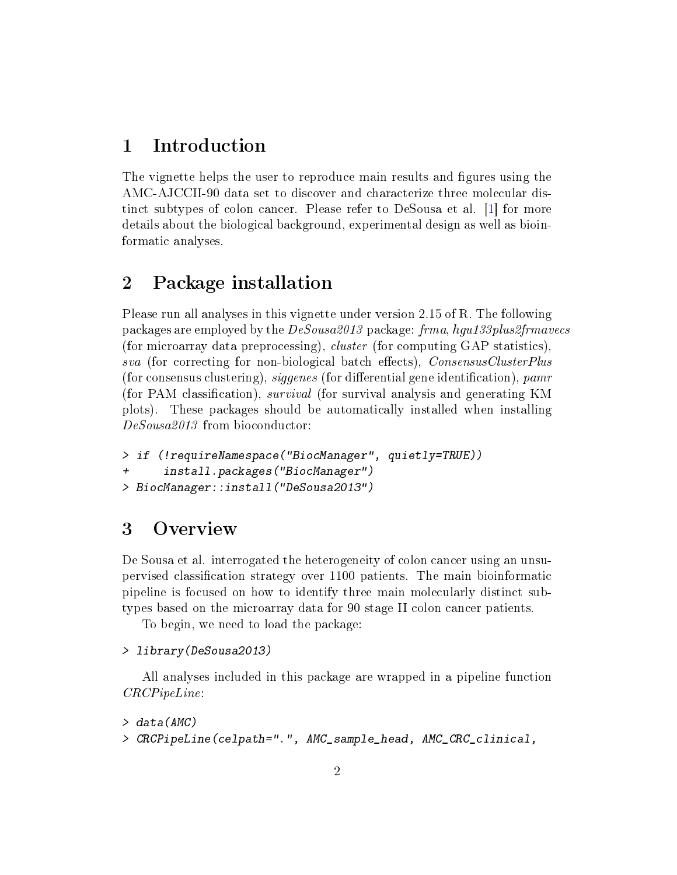### <span id="page-1-3"></span><span id="page-1-0"></span>1 Introduction

The vignette helps the user to reproduce main results and figures using the AMC-AJCCII-90 data set to discover and characterize three molecular distinct subtypes of colon cancer. Please refer to DeSousa et al. [\[1\]](#page-17-1) for more details about the biological background, experimental design as well as bioinformatic analyses.

## <span id="page-1-1"></span>2 Package installation

Please run all analyses in this vignette under version 2.15 of R. The following packages are employed by the DeSousa2013 package: frma, hgu133plus2frmavecs (for microarray data preprocessing), cluster (for computing GAP statistics), sva (for correcting for non-biological batch effects), ConsensusClusterPlus (for consensus clustering), siggenes (for differential gene identification),  $pamr$ (for PAM classification), *survival* (for survival analysis and generating KM plots). These packages should be automatically installed when installing DeSousa2013 from bioconductor:

```
> if (!requireNamespace("BiocManager", quietly=TRUE))
      install.packages("BiocManager")
> BiocManager::install("DeSousa2013")
```
### <span id="page-1-2"></span>3 Overview

De Sousa et al. interrogated the heterogeneity of colon cancer using an unsupervised classification strategy over 1100 patients. The main bioinformatic pipeline is focused on how to identify three main molecularly distinct subtypes based on the microarray data for 90 stage II colon cancer patients.

To begin, we need to load the package:

```
> library(DeSousa2013)
```
All analyses included in this package are wrapped in a pipeline function CRCPipeLine:

```
> data(AMC)
> CRCPipeLine(celpath=".", AMC_sample_head, AMC_CRC_clinical,
```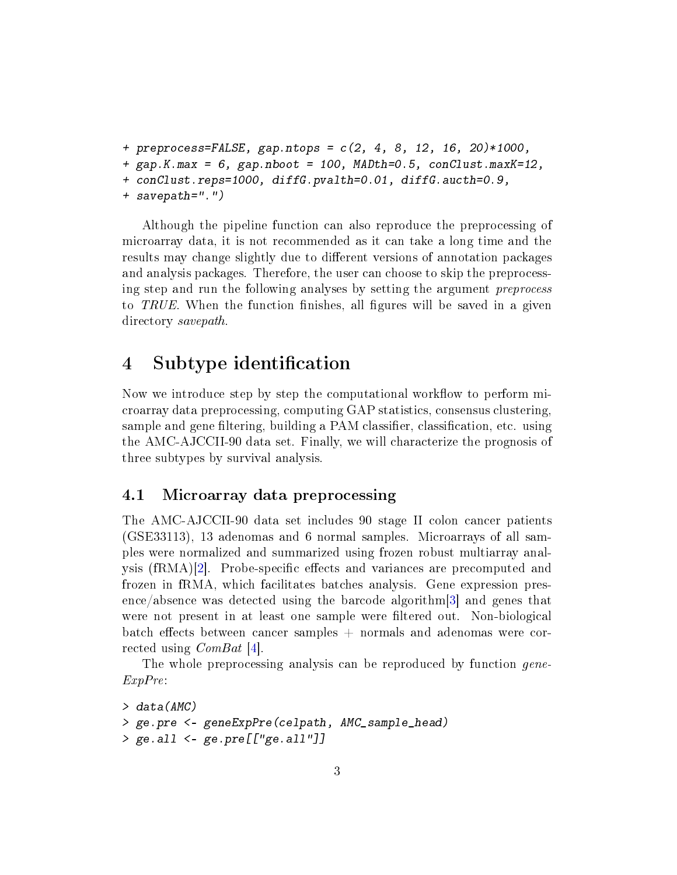```
+ preprocess=FALSE, gap.ntops = c(2, 4, 8, 12, 16, 20)*1000,
+ gap.K.max = 6, gap.nboot = 100, MADth=0.5, conClust.maxK=12,
+ conClust.reps=1000, diffG.pvalth=0.01, diffG.aucth=0.9,
+ savepath=".")
```
Although the pipeline function can also reproduce the preprocessing of microarray data, it is not recommended as it can take a long time and the results may change slightly due to different versions of annotation packages and analysis packages. Therefore, the user can choose to skip the preprocessing step and run the following analyses by setting the argument preprocess to TRUE. When the function finishes, all figures will be saved in a given directory savepath.

### <span id="page-2-0"></span>4 Subtype identification

Now we introduce step by step the computational workflow to perform microarray data preprocessing, computing GAP statistics, consensus clustering, sample and gene filtering, building a PAM classifier, classification, etc. using the AMC-AJCCII-90 data set. Finally, we will characterize the prognosis of three subtypes by survival analysis.

#### <span id="page-2-1"></span>4.1 Microarray data preprocessing

The AMC-AJCCII-90 data set includes 90 stage II colon cancer patients (GSE33113), 13 adenomas and 6 normal samples. Microarrays of all samples were normalized and summarized using frozen robust multiarray anal-ysis (fRMA)[\[2\]](#page-17-2). Probe-specific effects and variances are precomputed and frozen in fRMA, which facilitates batches analysis. Gene expression presence/absence was detected using the barcode algorithm[\[3\]](#page-17-3) and genes that were not present in at least one sample were filtered out. Non-biological batch effects between cancer samples  $+$  normals and adenomas were corrected using ComBat [\[4\]](#page-17-4).

The whole preprocessing analysis can be reproduced by function *gene*-ExpPre:

```
> data(AMC)
> ge.pre <- geneExpPre(celpath, AMC_sample_head)
> ge.all <- ge.pre[["ge.all"]]
```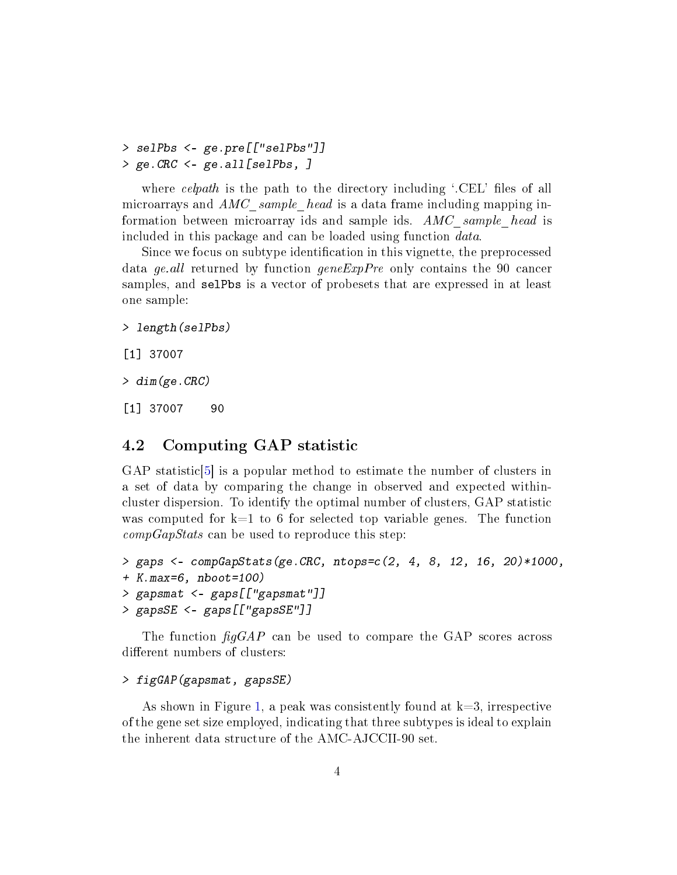```
> selPbs <- ge.pre[["selPbs"]]
> ge.CRC <- ge.all[selPbs, ]
```
where celpath is the path to the directory including  $\cdot$ .CEL' files of all microarrays and  $AMC$  sample head is a data frame including mapping information between microarray ids and sample ids. AMC sample head is included in this package and can be loaded using function data.

Since we focus on subtype identification in this vignette, the preprocessed data ge.all returned by function geneExpPre only contains the 90 cancer samples, and selPbs is a vector of probesets that are expressed in at least one sample:

```
> length(selPbs)
```

```
[1] 37007
```

```
> dim(ge.CRC)
```
[1] 37007 90

### <span id="page-3-0"></span>4.2 Computing GAP statistic

GAP statistic[\[5\]](#page-17-5) is a popular method to estimate the number of clusters in a set of data by comparing the change in observed and expected withincluster dispersion. To identify the optimal number of clusters, GAP statistic was computed for  $k=1$  to 6 for selected top variable genes. The function  $compGapStats$  can be used to reproduce this step:

```
> gaps <- compGapStats(ge.CRC, ntops=c(2, 4, 8, 12, 16, 20)*1000,
+ K.max=6, nboot=100)
> gapsmat <- gaps[["gapsmat"]]
> gapsSE <- gaps[["gapsSE"]]
```
The function  $\frac{f_{q}GAP}{}$  can be used to compare the GAP scores across different numbers of clusters:

#### > figGAP(gapsmat, gapsSE)

As shown in Figure [1,](#page-4-0) a peak was consistently found at  $k=3$ , irrespective of the gene set size employed, indicating that three subtypes is ideal to explain the inherent data structure of the AMC-AJCCII-90 set.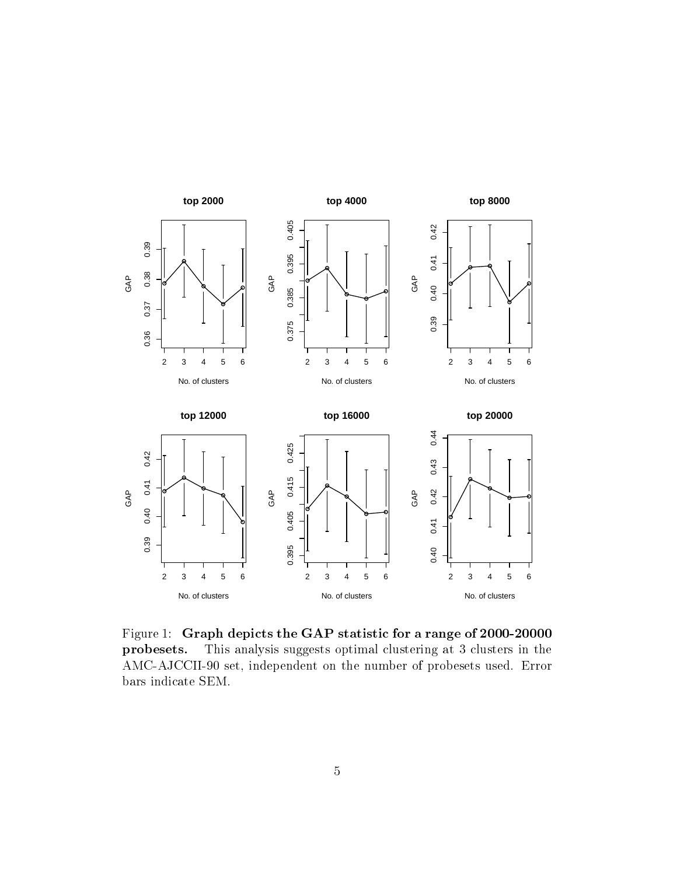

<span id="page-4-0"></span>Figure 1: Graph depicts the GAP statistic for a range of 2000-20000 probesets. This analysis suggests optimal clustering at 3 clusters in the AMC-AJCCII-90 set, independent on the number of probesets used. Error bars indicate SEM.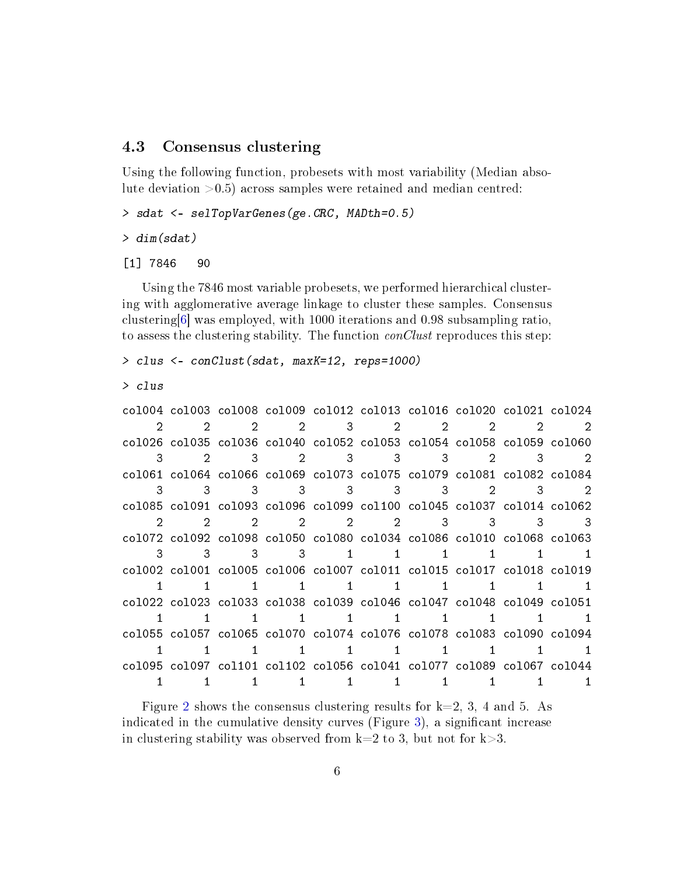#### <span id="page-5-1"></span><span id="page-5-0"></span>4.3 Consensus clustering

Using the following function, probesets with most variability (Median absolute deviation >0.5) across samples were retained and median centred:

```
> sdat <- selTopVarGenes(ge.CRC, MADth=0.5)
```

```
> dim(sdat)
```
[1] 7846 90

Using the 7846 most variable probesets, we performed hierarchical clustering with agglomerative average linkage to cluster these samples. Consensus clustering[\[6\]](#page-18-0) was employed, with 1000 iterations and 0.98 subsampling ratio, to assess the clustering stability. The function *conClust* reproduces this step:

```
> clus <- conClust(sdat, maxK=12, reps=1000)
```

```
> clus
```
col004 col003 col008 col009 col012 col013 col016 col020 col021 col024 2 2 2 2 3 2 2 2 2 2 col026 col035 col036 col040 col052 col053 col054 col058 col059 col060 3 2 3 2 3 3 3 2 3 2 col061 col064 col066 col069 col073 col075 col079 col081 col082 col084 3 3 3 3 3 3 3 2 3 2 col085 col091 col093 col096 col099 col100 col045 col037 col014 col062 2 2 2 2 2 2 3 3 3 3 col072 col092 col098 col050 col080 col034 col086 col010 col068 col063 3 3 3 3 1 1 1 1 1 1 col002 col001 col005 col006 col007 col011 col015 col017 col018 col019 1 1 1 1 1 1 1 1 1 1 1 col022 col023 col033 col038 col039 col046 col047 col048 col049 col051 1 1 1 1 1 1 1 1 1 1 col055 col057 col065 col070 col074 col076 col078 col083 col090 col094 1 1 1 1 1 1 1 1 1 1 col095 col097 col101 col102 col056 col041 col077 col089 col067 col044 1 1 1 1 1 1 1 1 1 1

Figure [2](#page-6-0) shows the consensus clustering results for  $k=2, 3, 4$  and 5. As indicated in the cumulative density curves (Figure [3\)](#page-7-0), a signicant increase in clustering stability was observed from  $k=2$  to 3, but not for  $k>3$ .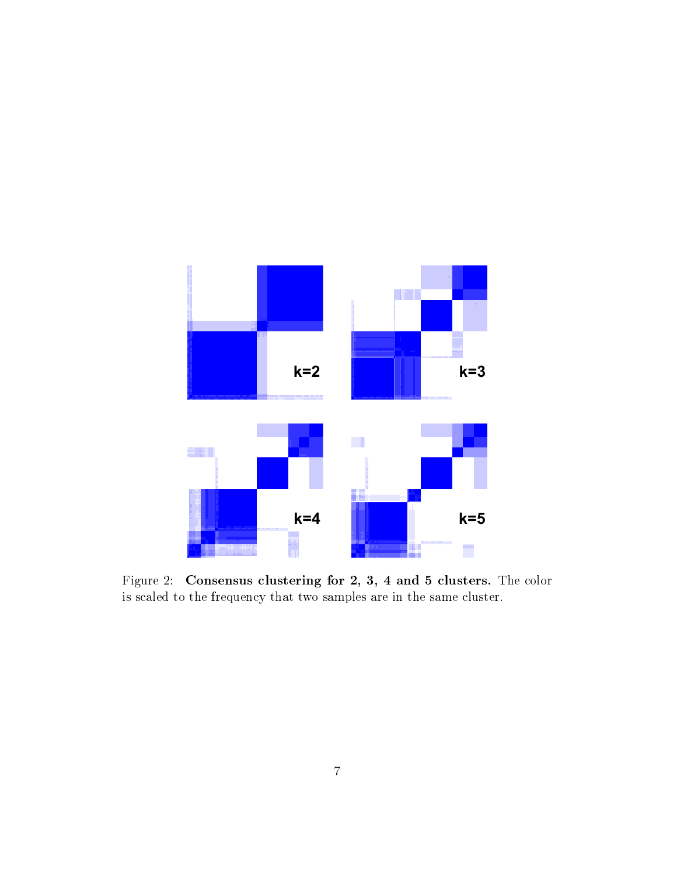

<span id="page-6-0"></span>Figure 2: Consensus clustering for 2, 3, 4 and 5 clusters. The color is scaled to the frequency that two samples are in the same cluster.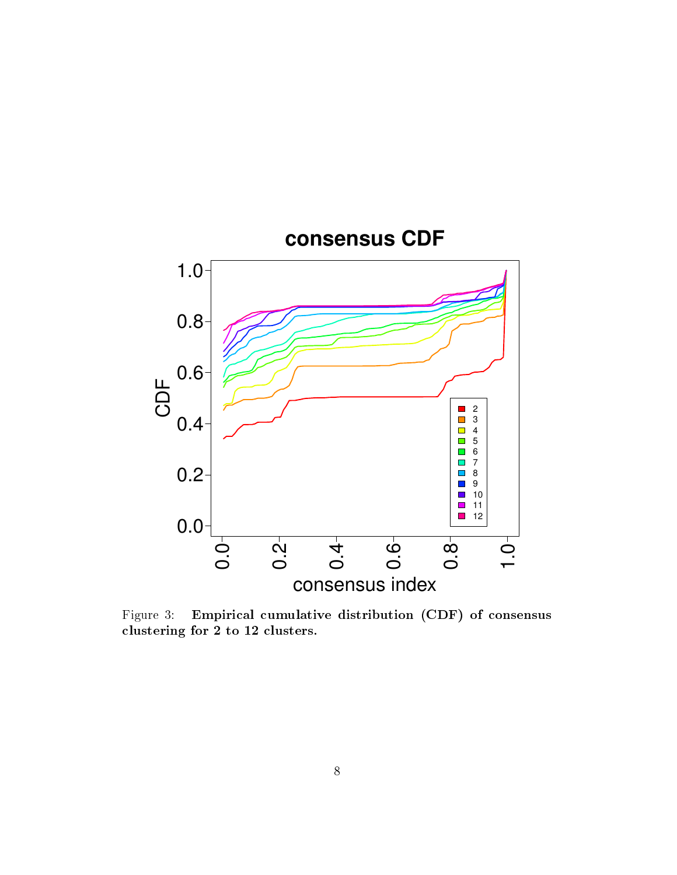

<span id="page-7-0"></span>Figure 3: Empirical cumulative distribution (CDF) of consensus clustering for 2 to 12 clusters.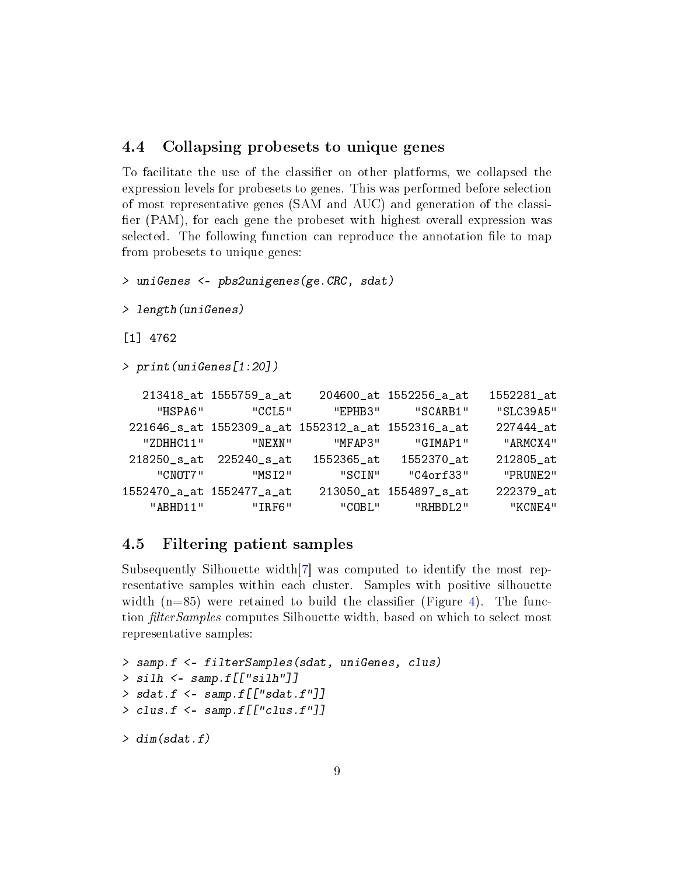#### <span id="page-8-2"></span><span id="page-8-0"></span>4.4 Collapsing probesets to unique genes

To facilitate the use of the classifier on other platforms, we collapsed the expression levels for probesets to genes. This was performed before selection of most representative genes (SAM and AUC) and generation of the classi fier  $(PAM)$ , for each gene the probeset with highest overall expression was selected. The following function can reproduce the annotation file to map from probesets to unique genes:

```
> uniGenes <- pbs2unigenes(ge.CRC, sdat)
> length(uniGenes)
[1] 4762
> print(uniGenes[1:20])
  213418_at 1555759_a_at 204600_at 1552256_a_at 1552281_at
```

| "HSPA6"   | "CCI.5"                                            | "FPHR3"    | "SCARB1"               | "SLC39A5" |
|-----------|----------------------------------------------------|------------|------------------------|-----------|
|           | 221646_s_at 1552309_a_at 1552312_a_at 1552316_a_at |            |                        | 227444 at |
| "ZDHHC11" | "NEXN"                                             | "MFAP3"    | "GIMAP1"               | "ARMCX4"  |
|           | 218250 s at 225240 s at                            | 1552365 at | 1552370 at             | 212805 at |
| "CNOT7"   | "MST2"                                             | "SCIN"     | "C4orf33"              | "PRUNF2"  |
|           | 1552470_a_at 1552477_a_at                          |            | 213050_at 1554897_s_at | 222379 at |
| " ABHD11" | "TRF6"                                             | "COBL"     | "RHBDL2"               | "KCNF4"   |

### <span id="page-8-1"></span>4.5 Filtering patient samples

Subsequently Silhouette width[\[7\]](#page-18-1) was computed to identify the most representative samples within each cluster. Samples with positive silhouette width  $(n=85)$  were retained to build the classifier (Figure [4\)](#page-10-0). The function *filterSamples* computes Silhouette width, based on which to select most representative samples:

```
> samp.f <- filterSamples(sdat, uniGenes, clus)
> silh \leq samp.f[["silh"]]
> sdat.f \leq samp.f[["sdat.f"]]
> clus.f <- samp.f[["clus.f"]]
> dim(sdat.f)
```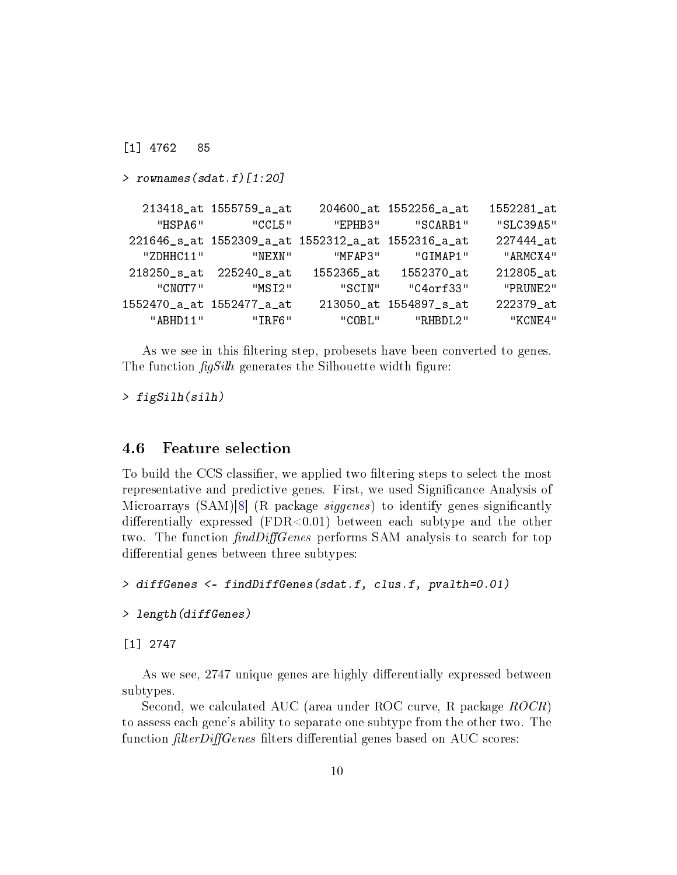<span id="page-9-1"></span>[1] 4762 85 > rownames(sdat.f)[1:20] 213418\_at 1555759\_a\_at 204600\_at 1552256\_a\_at 1552281\_at "HSPA6" "CCL5" "EPHB3" "SCARB1" "SLC39A5" 221646\_s\_at 1552309\_a\_at 1552312\_a\_at 1552316\_a\_at 227444\_at "ZDHHC11" "NEXN" "MFAP3" "GIMAP1" "ARMCX4" 218250\_s\_at 225240\_s\_at 1552365\_at 1552370\_at 212805\_at "CNOT7" "MSI2" "SCIN" "C4orf33" "PRUNE2" 1552470\_a\_at 1552477\_a\_at 213050\_at 1554897\_s\_at 222379\_at "ABHD11" "IRF6" "COBL" "RHBDL2" "KCNE4"

As we see in this filtering step, probesets have been converted to genes. The function  $\frac{f\{aS_i\}}{h}$  generates the Silhouette width figure:

> figSilh(silh)

#### <span id="page-9-0"></span>4.6 Feature selection

To build the CCS classifier, we applied two filtering steps to select the most representative and predictive genes. First, we used Signicance Analysis of Microarrays  $(SAM)[8]$  $(SAM)[8]$  (R package *siggenes*) to identify genes significantly differentially expressed (FDR $< 0.01$ ) between each subtype and the other two. The function  $findDiffGenes$  performs SAM analysis to search for top differential genes between three subtypes:

> diffGenes <- findDiffGenes(sdat.f, clus.f, pvalth=0.01)

```
> length(diffGenes)
```
[1] 2747

As we see, 2747 unique genes are highly differentially expressed between subtypes.

Second, we calculated AUC (area under ROC curve, R package ROCR) to assess each gene's ability to separate one subtype from the other two. The function  $filterDiffGenes$  filters differential genes based on AUC scores: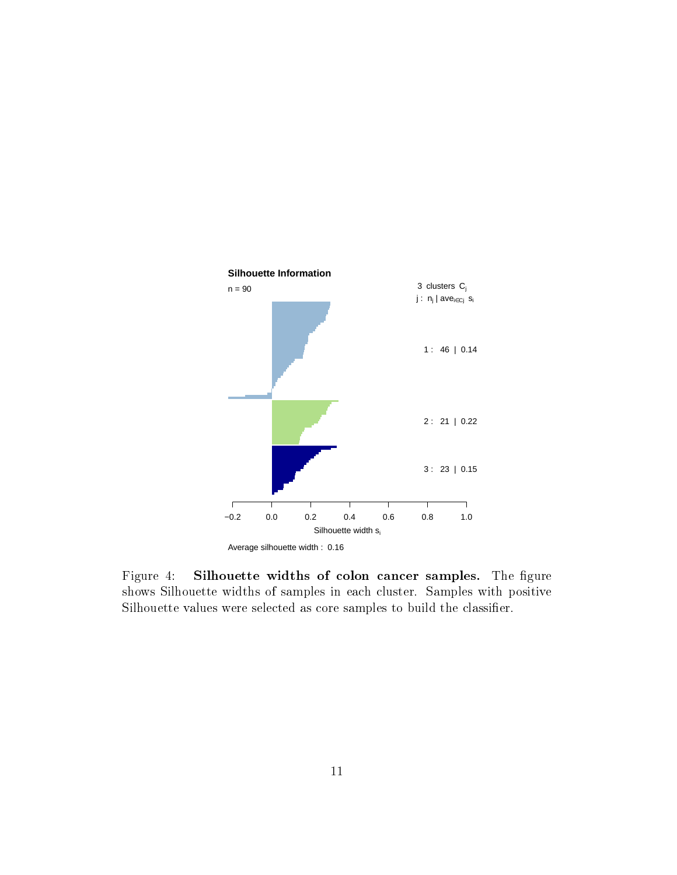

<span id="page-10-0"></span>Figure 4: Silhouette widths of colon cancer samples. The figure shows Silhouette widths of samples in each cluster. Samples with positive Silhouette values were selected as core samples to build the classifier.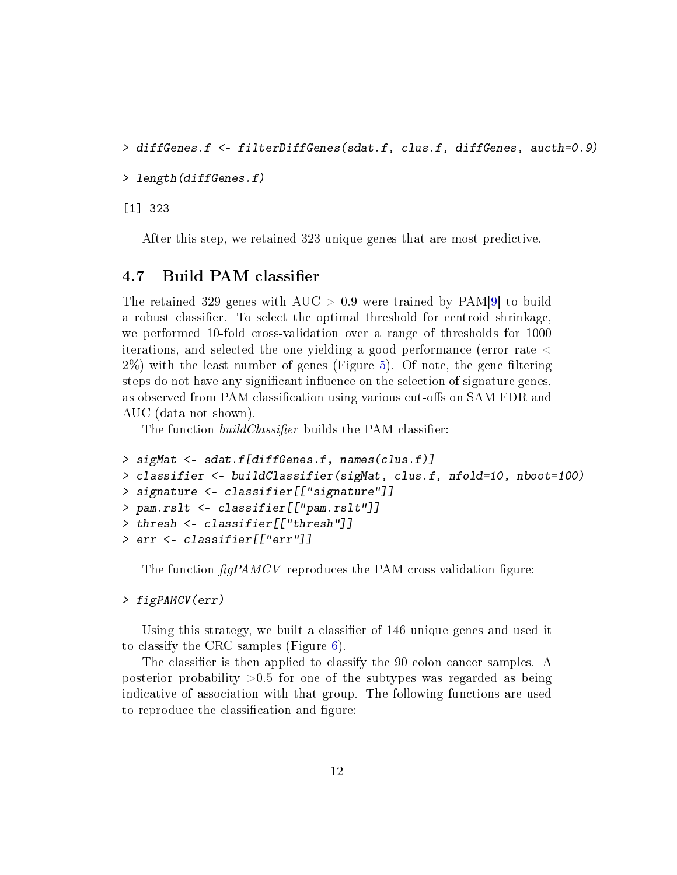```
> diffGenes.f <- filterDiffGenes(sdat.f, clus.f, diffGenes, aucth=0.9)
```

```
> length(diffGenes.f)
```
[1] 323

After this step, we retained 323 unique genes that are most predictive.

#### <span id="page-11-0"></span>4.7 Build PAM classifier

The retained 329 genes with  $AUC > 0.9$  were trained by  $PAM[9]$  $PAM[9]$  to build a robust classifier. To select the optimal threshold for centroid shrinkage, we performed 10-fold cross-validation over a range of thresholds for 1000 iterations, and selected the one yielding a good performance (error rate <  $2\%$ ) with the least number of genes (Figure [5\)](#page-12-0). Of note, the gene filtering steps do not have any significant influence on the selection of signature genes, as observed from PAM classification using various cut-offs on SAM FDR and AUC (data not shown).

The function *buildClassifier* builds the PAM classifier:

```
> sigMat <- sdat.f[diffGenes.f, names(clus.f)]
> classifier <- buildClassifier(sigMat, clus.f, nfold=10, nboot=100)
> signature <- classifier[["signature"]]
> pam.rslt <- classifier[["pam.rslt"]]
> thresh <- classifier[["thresh"]]
> err <- classifier[["err"]]
```
The function  $\frac{f_{q}PAMCV}{P}$  reproduces the PAM cross validation figure:

#### > figPAMCV(err)

Using this strategy, we built a classifier of 146 unique genes and used it to classify the CRC samples (Figure [6\)](#page-14-0).

The classifier is then applied to classify the 90 colon cancer samples. A posterior probability  $>0.5$  for one of the subtypes was regarded as being indicative of association with that group. The following functions are used to reproduce the classification and figure: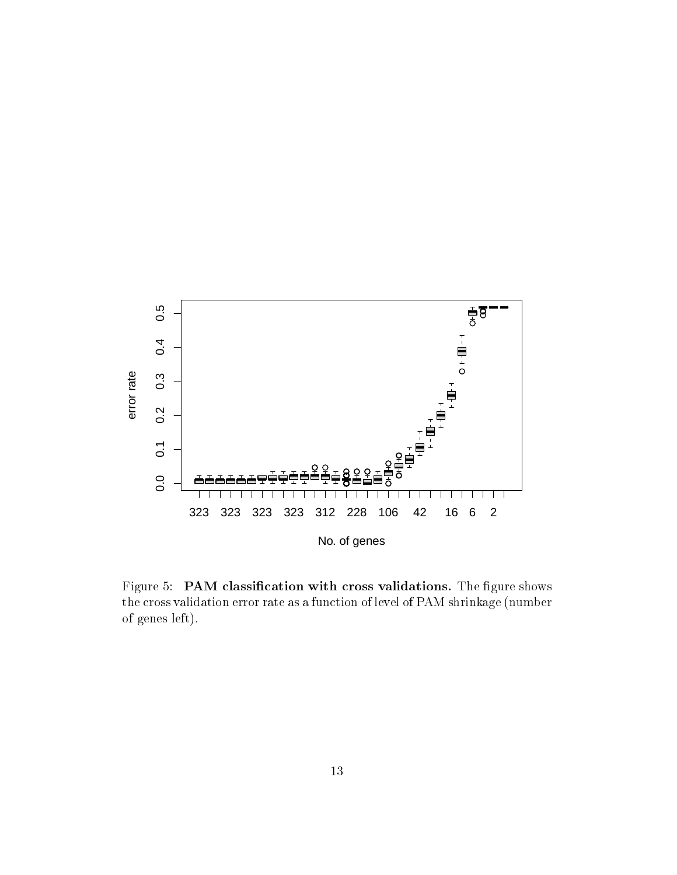

<span id="page-12-0"></span>Figure 5: PAM classification with cross validations. The figure shows the cross validation error rate as a function of level of PAM shrinkage (number of genes left).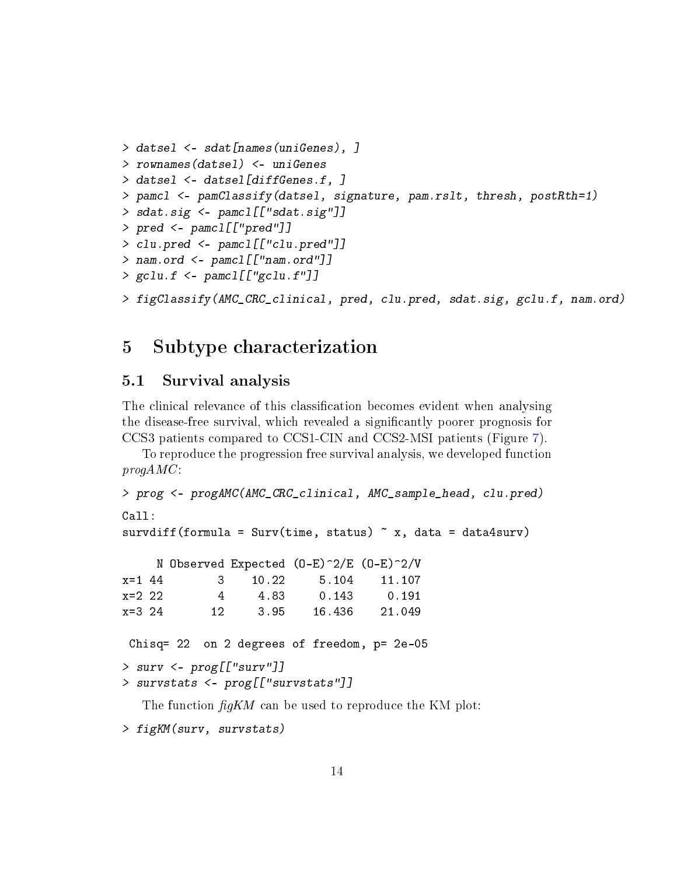```
> datsel <- sdat[names(uniGenes), ]
> rownames(datsel) <- uniGenes
> datsel <- datsel[diffGenes.f, ]
> pamcl <- pamClassify(datsel, signature, pam.rslt, thresh, postRth=1)
> sdat.sig <- pamcl[["sdat.sig"]]
> pred <- pamcl[["pred"]]
> clu.pred <- pamcl[["clu.pred"]]
> nam.ord <- pamcl[["nam.ord"]]
> gclu.f \leq pamcl[["gclu.f"]]
> figClassify(AMC_CRC_clinical, pred, clu.pred, sdat.sig, gclu.f, nam.ord)
```
### <span id="page-13-0"></span>5 Subtype characterization

#### <span id="page-13-1"></span>5.1 Survival analysis

The clinical relevance of this classification becomes evident when analysing the disease-free survival, which revealed a significantly poorer prognosis for CCS3 patients compared to CCS1-CIN and CCS2-MSI patients (Figure [7\)](#page-15-0).

To reproduce the progression free survival analysis, we developed function  $progAMC$ :

```
> prog <- progAMC(AMC_CRC_clinical, AMC_sample_head, clu.pred)
Call:
```

```
survdiff(formula = Surv(time, status) x, data = data4surv)
```

|          |      |       | N Observed Expected $(D-E)^2/E$ $(D-E)^2/V$ |        |
|----------|------|-------|---------------------------------------------|--------|
| $x=1$ 44 | 13 L | 10.22 | 5.104                                       | 11.107 |
| $x=2$ 22 | 4    | 4.83  | 0.143                                       | 0.191  |
| $x=3$ 24 | 12.  | 3.95  | 16.436                                      | 21.049 |

```
Chisq= 22 on 2 degrees of freedom, p= 2e-05
```

```
> surv <- prog[["surv"]]
```

```
> survstats <- prog[["survstats"]]
```
The function  $\text{fg}KM$  can be used to reproduce the KM plot:

```
> figKM(surv, survstats)
```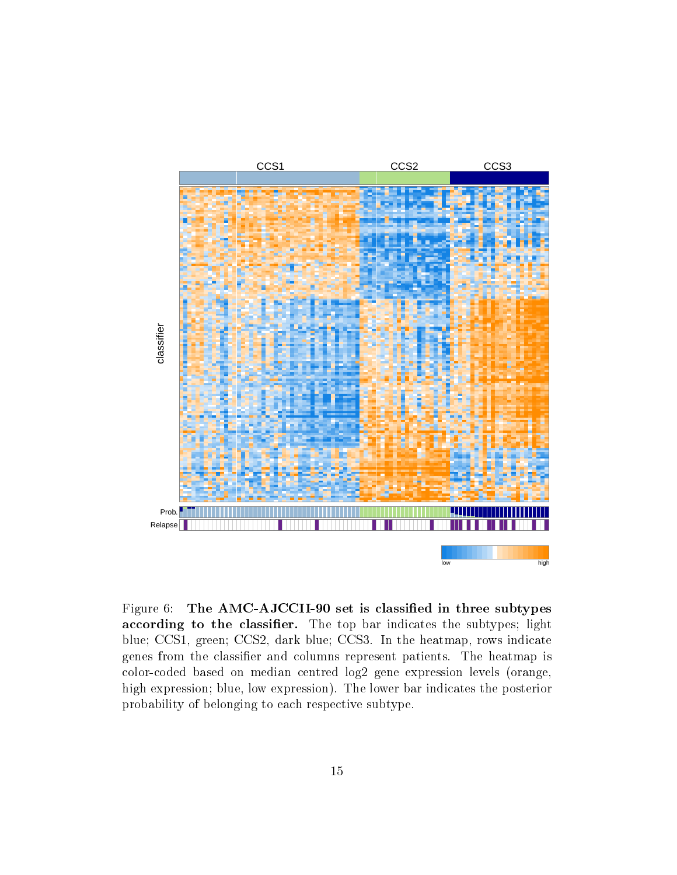

<span id="page-14-0"></span>Figure 6: The AMC-AJCCII-90 set is classified in three subtypes according to the classifier. The top bar indicates the subtypes; light blue; CCS1, green; CCS2, dark blue; CCS3. In the heatmap, rows indicate genes from the classifier and columns represent patients. The heatmap is color-coded based on median centred log2 gene expression levels (orange, high expression; blue, low expression). The lower bar indicates the posterior probability of belonging to each respective subtype.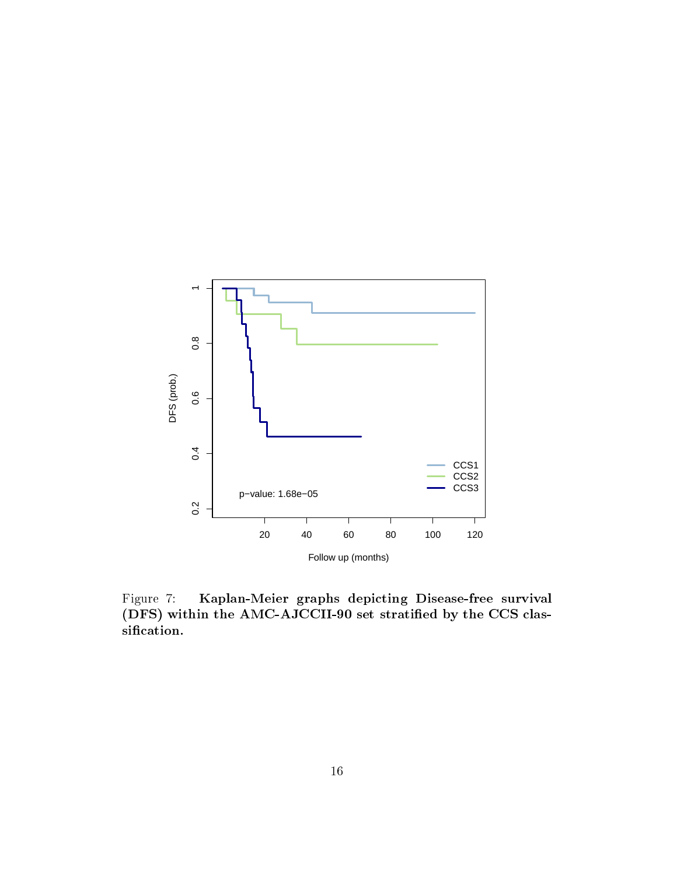

<span id="page-15-0"></span>Figure 7: Kaplan-Meier graphs depicting Disease-free survival (DFS) within the AMC-AJCCII-90 set stratified by the CCS classification.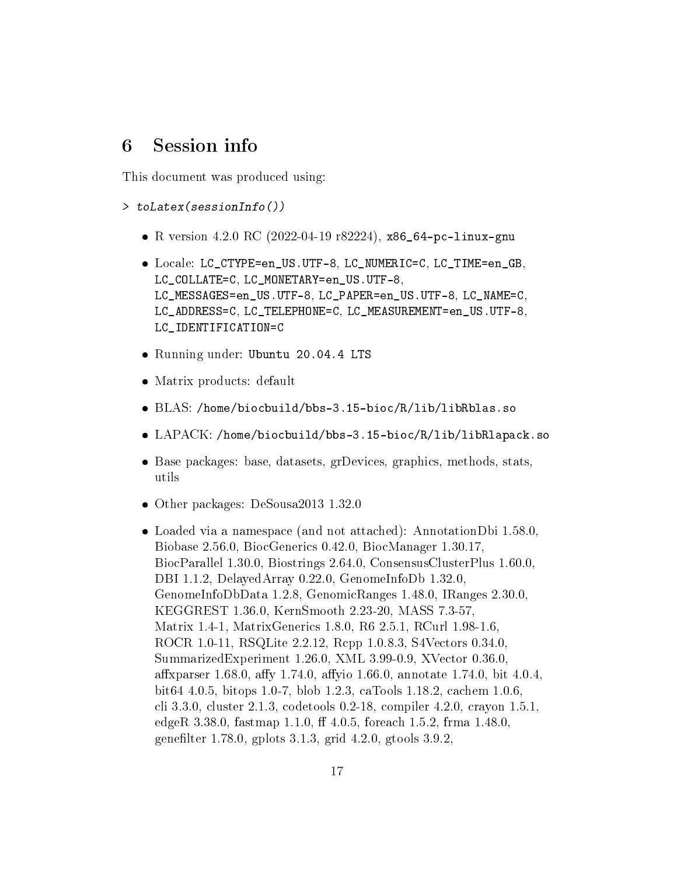### <span id="page-16-0"></span>6 Session info

This document was produced using:

> toLatex(sessionInfo())

- R version 4.2.0 RC (2022-04-19 r82224), x86\_64-pc-linux-gnu
- Locale: LC\_CTYPE=en\_US.UTF-8, LC\_NUMERIC=C, LC\_TIME=en\_GB, LC\_COLLATE=C, LC\_MONETARY=en\_US.UTF-8, LC\_MESSAGES=en\_US.UTF-8, LC\_PAPER=en\_US.UTF-8, LC\_NAME=C, LC\_ADDRESS=C, LC\_TELEPHONE=C, LC\_MEASUREMENT=en\_US.UTF-8, LC\_IDENTIFICATION=C
- Running under: Ubuntu 20.04.4 LTS
- Matrix products: default
- BLAS: /home/biocbuild/bbs-3.15-bioc/R/lib/libRblas.so
- LAPACK: /home/biocbuild/bbs-3.15-bioc/R/lib/libRlapack.so
- Base packages: base, datasets, grDevices, graphics, methods, stats, utils
- Other packages: DeSousa2013 1.32.0
- Loaded via a namespace (and not attached): AnnotationDbi 1.58.0, Biobase 2.56.0, BiocGenerics 0.42.0, BiocManager 1.30.17, BiocParallel 1.30.0, Biostrings 2.64.0, ConsensusClusterPlus 1.60.0, DBI 1.1.2, DelayedArray 0.22.0, GenomeInfoDb 1.32.0, GenomeInfoDbData 1.2.8, GenomicRanges 1.48.0, IRanges 2.30.0, KEGGREST 1.36.0, KernSmooth 2.23-20, MASS 7.3-57, Matrix 1.4-1, MatrixGenerics 1.8.0, R6 2.5.1, RCurl 1.98-1.6, ROCR 1.0-11, RSQLite 2.2.12, Rcpp 1.0.8.3, S4Vectors 0.34.0, SummarizedExperiment 1.26.0, XML 3.99-0.9, XVector 0.36.0, affxparser 1.68.0, affy 1.74.0, affyio 1.66.0, annotate 1.74.0, bit 4.0.4, bit64 4.0.5, bitops 1.0-7, blob 1.2.3, caTools 1.18.2, cachem 1.0.6, cli 3.3.0, cluster 2.1.3, codetools 0.2-18, compiler 4.2.0, crayon 1.5.1, edgeR 3.38.0, fastmap 1.1.0, ff 4.0.5, foreach 1.5.2, frma 1.48.0, genefilter 1.78.0, gplots  $3.1.3$ , grid  $4.2.0$ , gtools  $3.9.2$ ,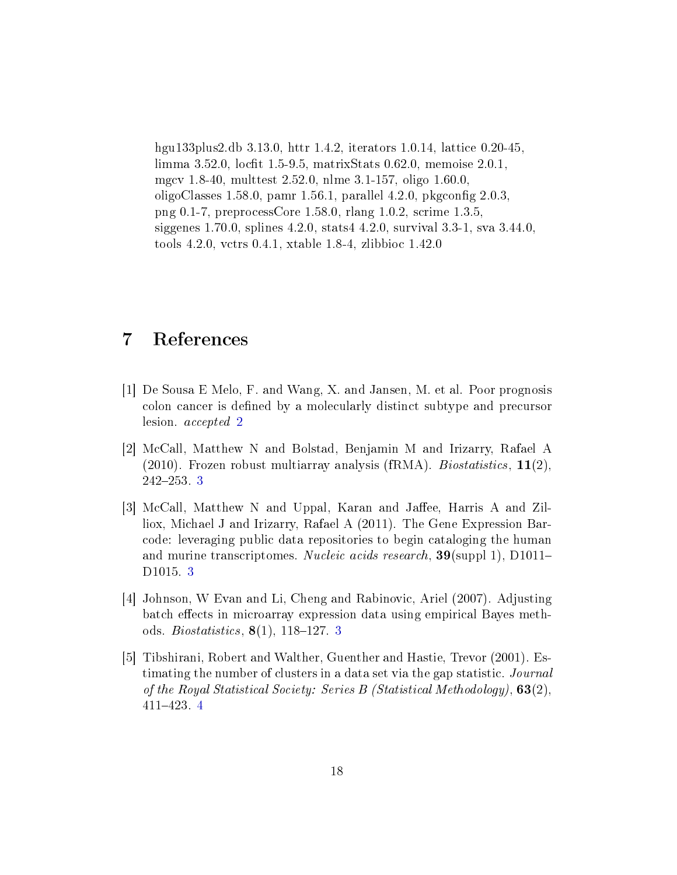hgu133plus2.db 3.13.0, httr 1.4.2, iterators 1.0.14, lattice 0.20-45, limma 3.52.0, locfit 1.5-9.5, matrixStats 0.62.0, memoise 2.0.1, mgcv 1.8-40, multtest 2.52.0, nlme 3.1-157, oligo 1.60.0, oligoClasses 1.58.0, pamr 1.56.1, parallel 4.2.0, pkgconfig  $2.0.3$ , png 0.1-7, preprocessCore 1.58.0, rlang 1.0.2, scrime 1.3.5, siggenes 1.70.0, splines 4.2.0, stats4 4.2.0, survival 3.3-1, sva 3.44.0, tools 4.2.0, vctrs 0.4.1, xtable 1.8-4, zlibbioc 1.42.0

### <span id="page-17-0"></span>7 References

- <span id="page-17-1"></span>[1] De Sousa E Melo, F. and Wang, X. and Jansen, M. et al. Poor prognosis colon cancer is defined by a molecularly distinct subtype and precursor lesion. accepted [2](#page-1-3)
- <span id="page-17-2"></span>[2] McCall, Matthew N and Bolstad, Benjamin M and Irizarry, Rafael A (2010). Frozen robust multiarray analysis (fRMA). *Biostatistics*,  $11(2)$ ,  $242 - 253.3$  $242 - 253.3$  $242 - 253.3$
- <span id="page-17-3"></span>[3] McCall, Matthew N and Uppal, Karan and Jaffee, Harris A and Zilliox, Michael J and Irizarry, Rafael A (2011). The Gene Expression Barcode: leveraging public data repositories to begin cataloging the human and murine transcriptomes. Nucleic acids research, 39(suppl 1), D1011– D1015. [3](#page-2-2)
- <span id="page-17-4"></span>[4] Johnson, W Evan and Li, Cheng and Rabinovic, Ariel (2007). Adjusting batch effects in microarray expression data using empirical Bayes methods. *Biostatistics*,  $8(1)$ , 118-127. [3](#page-2-2)
- <span id="page-17-5"></span>[5] Tibshirani, Robert and Walther, Guenther and Hastie, Trevor (2001). Estimating the number of clusters in a data set via the gap statistic. Journal of the Royal Statistical Society: Series B (Statistical Methodology),  $63(2)$ , 411423. [4](#page-3-1)